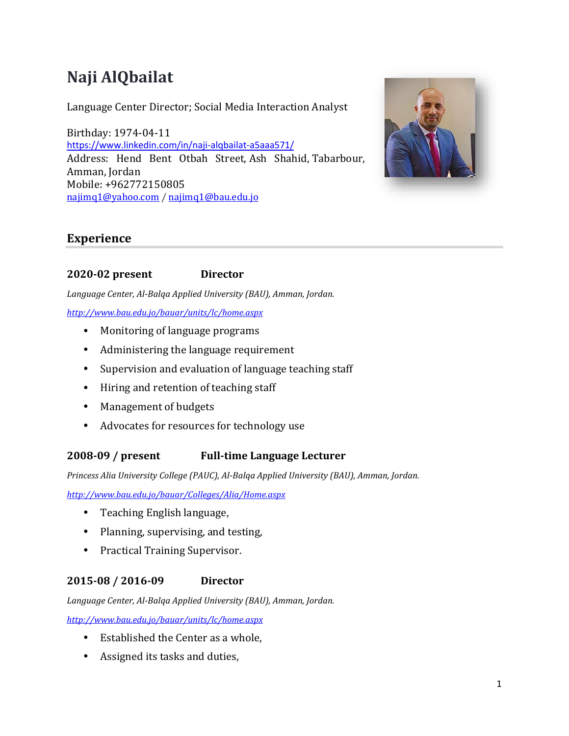# **Naji AlQbailat**

Language Center Director; Social Media Interaction Analyst

Birthday: 1974-04-11 <https://www.linkedin.com/in/naji-alqbailat-a5aaa571/> Address: Hend Bent Otbah Street, Ash Shahid, Tabarbour, Amman, Jordan Mobile: +962772150805 [najimq1@yahoo.com](mailto:najimq1@yahoo.com) [/ najimq1@bau.edu.jo](mailto:najimq1@bau.edu.jo)



## **Experience**

## **2020-02 present Director**

*Language Center, Al-Balqa Applied University (BAU), Amman, Jordan.* 

#### *<http://www.bau.edu.jo/bauar/units/lc/home.aspx>*

- Monitoring of language programs
- Administering the language requirement
- Supervision and evaluation of language teaching staff
- Hiring and retention of teaching staff
- Management of budgets
- Advocates for resources for technology use

## **2008-09 / present Full-time Language Lecturer**

*Princess Alia University College (PAUC), Al-Balqa Applied University (BAU), Amman, Jordan.*

*<http://www.bau.edu.jo/bauar/Colleges/Alia/Home.aspx>*

- Teaching English language,
- Planning, supervising, and testing,
- Practical Training Supervisor.

## **2015-08 / 2016-09 Director**

*Language Center, Al-Balqa Applied University (BAU), Amman, Jordan.*

*<http://www.bau.edu.jo/bauar/units/lc/home.aspx>*

- Established the Center as a whole,
- Assigned its tasks and duties,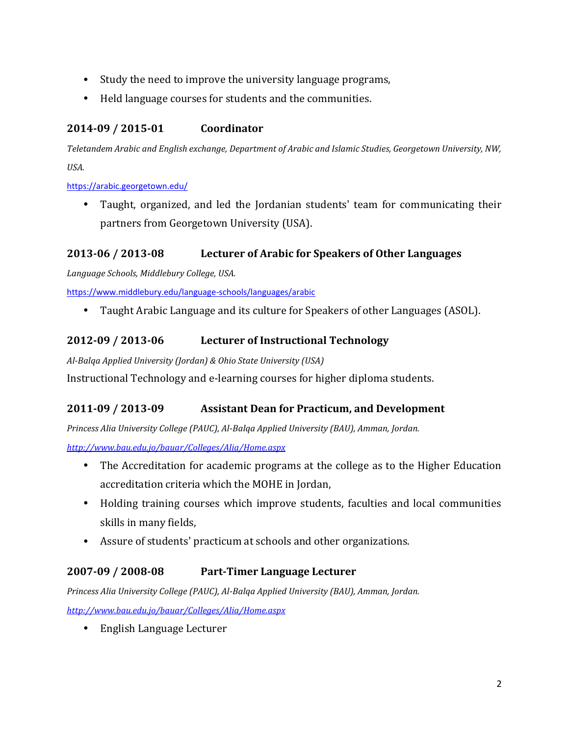- Study the need to improve the university language programs,
- Held language courses for students and the communities.

## **2014-09 / 2015-01 Coordinator**

*Teletandem Arabic and English exchange, Department of Arabic and Islamic Studies, Georgetown University, NW, USA.*

<https://arabic.georgetown.edu/>

• Taught, organized, and led the Jordanian students' team for communicating their partners from Georgetown University (USA).

## **2013-06 / 2013-08 Lecturer of Arabic for Speakers of Other Languages**

*Language Schools, Middlebury College, USA.*

<https://www.middlebury.edu/language-schools/languages/arabic>

• Taught Arabic Language and its culture for Speakers of other Languages (ASOL).

## **2012-09 / 2013-06 Lecturer of Instructional Technology**

*Al-Balqa Applied University (Jordan) & Ohio State University (USA)*

Instructional Technology and e-learning courses for higher diploma students.

## **2011-09 / 2013-09 Assistant Dean for Practicum, and Development**

*Princess Alia University College (PAUC), Al-Balqa Applied University (BAU), Amman, Jordan.*

*<http://www.bau.edu.jo/bauar/Colleges/Alia/Home.aspx>*

- The Accreditation for academic programs at the college as to the Higher Education accreditation criteria which the MOHE in Jordan,
- Holding training courses which improve students, faculties and local communities skills in many fields,
- Assure of students' practicum at schools and other organizations.

## **2007-09 / 2008-08 Part-Timer Language Lecturer**

*Princess Alia University College (PAUC), Al-Balqa Applied University (BAU), Amman, Jordan.*

*<http://www.bau.edu.jo/bauar/Colleges/Alia/Home.aspx>*

• English Language Lecturer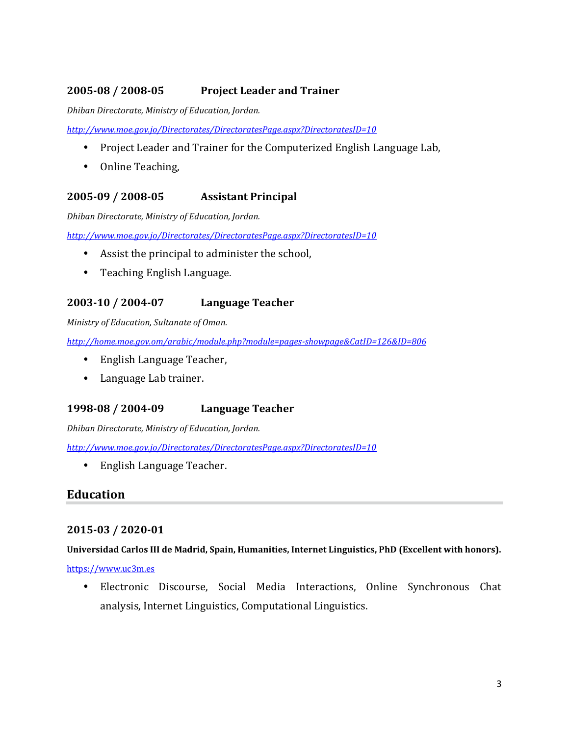## **2005-08 / 2008-05 Project Leader and Trainer**

*Dhiban Directorate, Ministry of Education, Jordan.*

*<http://www.moe.gov.jo/Directorates/DirectoratesPage.aspx?DirectoratesID=10>*

- Project Leader and Trainer for the Computerized English Language Lab,
- Online Teaching,

## **2005-09 / 2008-05 Assistant Principal**

*Dhiban Directorate, Ministry of Education, Jordan.*

*<http://www.moe.gov.jo/Directorates/DirectoratesPage.aspx?DirectoratesID=10>*

- Assist the principal to administer the school,
- Teaching English Language.

## **2003-10 / 2004-07 Language Teacher**

*Ministry of Education, Sultanate of Oman.*

*<http://home.moe.gov.om/arabic/module.php?module=pages-showpage&CatID=126&ID=806>*

- English Language Teacher,
- Language Lab trainer.

### **1998-08 / 2004-09 Language Teacher**

*Dhiban Directorate, Ministry of Education, Jordan.*

*<http://www.moe.gov.jo/Directorates/DirectoratesPage.aspx?DirectoratesID=10>*

• English Language Teacher.

## **Education**

### **2015-03 / 2020-01**

#### **Universidad Carlos III de Madrid, Spain, Humanities, Internet Linguistics, PhD (Excellent with honors).**

#### [https://www.uc3m.es](https://www.uc3m.es/)

• Electronic Discourse, Social Media Interactions, Online Synchronous Chat analysis, Internet Linguistics, Computational Linguistics.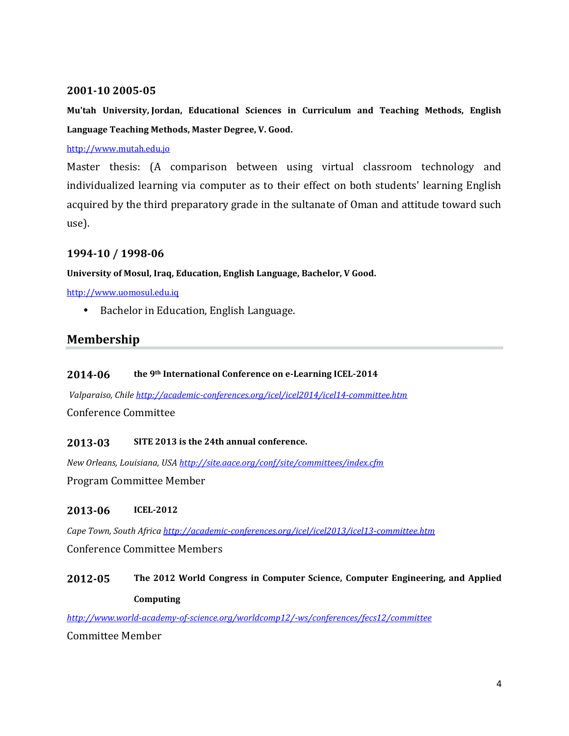#### **2001-10 2005-05**

**Mu'tah University, Jordan, Educational Sciences in Curriculum and Teaching Methods, English Language Teaching Methods, Master Degree, V. Good.**

#### [http://www.mutah.edu.jo](http://www.mutah.edu.jo/)

Master thesis: (A comparison between using virtual classroom technology and individualized learning via computer as to their effect on both students' learning English acquired by the third preparatory grade in the sultanate of Oman and attitude toward such use).

#### **1994-10 / 1998-06**

#### **University of Mosul, Iraq, Education, English Language, Bachelor, V Good.**

[http://www.uomosul.edu.iq](http://www.uomosul.edu.iq/)

• Bachelor in Education, English Language.

## **Membership**

#### **2014-06 the 9th International Conference on e-Learning ICEL-2014**

*Valparaiso, Chile <http://academic-conferences.org/icel/icel2014/icel14-committee.htm>* Conference Committee

#### **2013-03 SITE 2013 is the 24th annual conference.**

*New Orleans, Louisiana, USA <http://site.aace.org/conf/site/committees/index.cfm>* Program Committee Member

#### **2013-06 ICEL-2012**

*Cape Town, South Africa <http://academic-conferences.org/icel/icel2013/icel13-committee.htm>* Conference Committee Members

## **2012-05 The 2012 World Congress in Computer Science, Computer Engineering, and Applied Computing**

*<http://www.world-academy-of-science.org/worldcomp12/-ws/conferences/fecs12/committee>*

Committee Member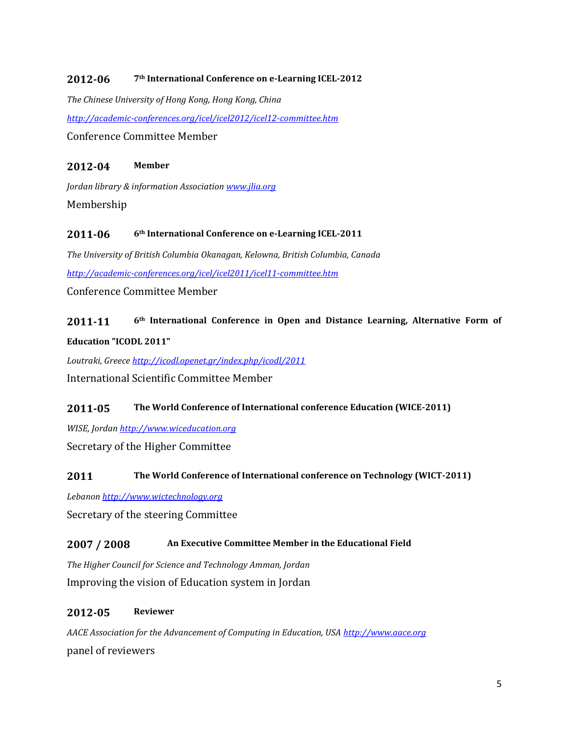#### **2012-06 7th International Conference on e-Learning ICEL-2012**

*The Chinese University of Hong Kong, Hong Kong, China <http://academic-conferences.org/icel/icel2012/icel12-committee.htm>* Conference Committee Member

#### **2012-04 Member**

*Jordan library & information Associatio[n www.jlia.org](http://www.jlia.org/)* Membership

#### **2011-06 6th International Conference on e-Learning ICEL-2011**

*The University of British Columbia Okanagan, Kelowna, British Columbia, Canada <http://academic-conferences.org/icel/icel2011/icel11-committee.htm>*

Conference Committee Member

# **2011-11 6th International Conference in Open and Distance Learning, Alternative Form of Education "ICODL 2011"**

*Loutraki, Greece <http://icodl.openet.gr/index.php/icodl/2011>* International Scientific Committee Member

#### **2011-05 The World Conference of International conference Education (WICE-2011)**

*WISE, Jordan [http://www.wiceducation.org](http://www.wiceducation.org/)*

Secretary of the Higher Committee

#### **2011 The World Conference of International conference on Technology (WICT-2011)**

*Lebanon [http://www.wictechnology.org](http://www.wictechnology.org/)*

Secretary of the steering Committee

### **2007 / 2008 An Executive Committee Member in the Educational Field**

*The Higher Council for Science and Technology Amman, Jordan* Improving the vision of Education system in Jordan

#### **2012-05 Reviewer**

*AACE Association for the Advancement of Computing in Education, USA [http://www.aace.org](http://www.aace.org/)* panel of reviewers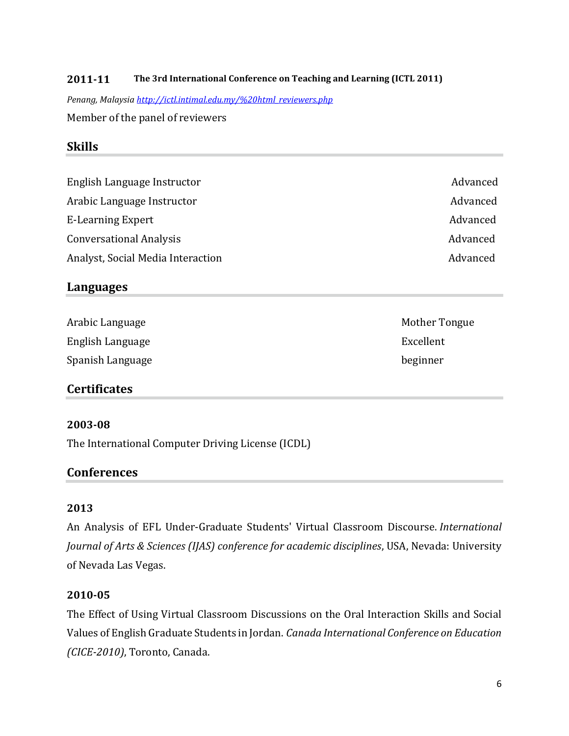#### **2011-11 The 3rd International Conference on Teaching and Learning (ICTL 2011)**

*Penang, Malaysia [http://ictl.intimal.edu.my/%20html\\_reviewers.php](http://ictl.intimal.edu.my/%20html_reviewers.php)*

Member of the panel of reviewers

## **Skills**

English Language Instructor **Advanced** Advanced Arabic Language Instructor and a set of the Advanced Advanced E-Learning Expert Advanced Conversational Analysis **Advanced** Advanced **Advanced Advanced Advanced** Analyst, Social Media Interaction Advanced Advanced

## **Languages**

| Arabic Language  | Mother T  |
|------------------|-----------|
| English Language | Excellent |
| Spanish Language | beginner  |

## **Certificates**

#### **2003-08**

The International Computer Driving License (ICDL)

### **Conferences**

### **2013**

An Analysis of EFL Under-Graduate Students' Virtual Classroom Discourse. *International Journal of Arts & Sciences (IJAS) conference for academic disciplines*, USA, Nevada: University of Nevada Las Vegas.

#### **2010-05**

The Effect of Using Virtual Classroom Discussions on the Oral Interaction Skills and Social Values of English Graduate Students in Jordan. *Canada International Conference on Education (CICE-2010)*, Toronto, Canada.

Mother Tongue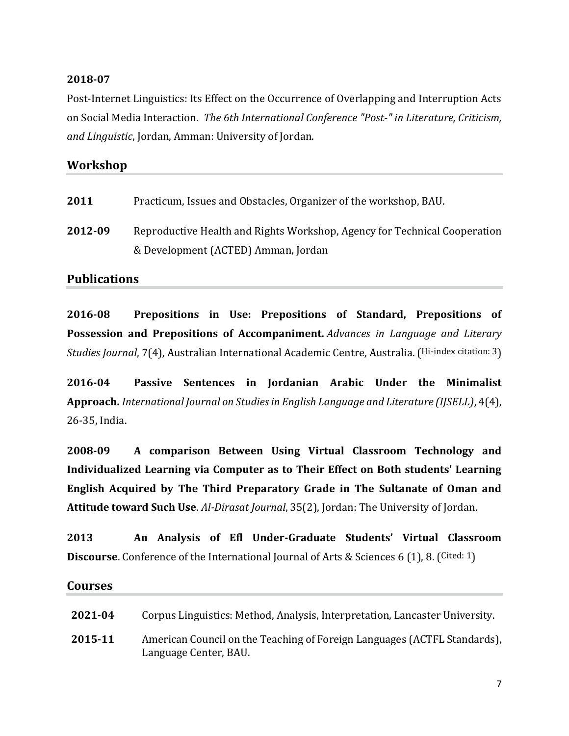## **2018-07**

Post-Internet Linguistics: Its Effect on the Occurrence of Overlapping and Interruption Acts on Social Media Interaction. *The 6th International Conference "Post-" in Literature, Criticism, and Linguistic*, Jordan, Amman: University of Jordan.

## **Workshop**

| 2011<br>Practicum, Issues and Obstacles, Organizer of the workshop, BAU. |  |
|--------------------------------------------------------------------------|--|
|--------------------------------------------------------------------------|--|

**2012-09** Reproductive Health and Rights Workshop, Agency for Technical Cooperation & Development (ACTED) Amman, Jordan

## **Publications**

**2016-08 Prepositions in Use: Prepositions of Standard, Prepositions of Possession and Prepositions of Accompaniment.** *Advances in Language and Literary Studies Journal*, 7(4), Australian International Academic Centre, Australia. (Hi-index citation: 3)

**2016-04 Passive Sentences in Jordanian Arabic Under the Minimalist Approach.** *International Journal on Studies in English Language and Literature (IJSELL)*, 4(4), 26-35, India.

**2008-09 A comparison Between Using Virtual Classroom Technology and Individualized Learning via Computer as to Their Effect on Both students' Learning English Acquired by The Third Preparatory Grade in The Sultanate of Oman and Attitude toward Such Use**. *Al-Dirasat Journal*, 35(2), Jordan: The University of Jordan.

**2013 An Analysis of Efl Under-Graduate Students' Virtual Classroom Discourse**. Conference of the International Journal of Arts & Sciences 6 (1), 8. (Cited: 1)

# **Courses 2021-04** Corpus Linguistics: Method, Analysis, Interpretation, Lancaster University. **2015-11** American Council on the Teaching of Foreign Languages (ACTFL Standards), Language Center, BAU.